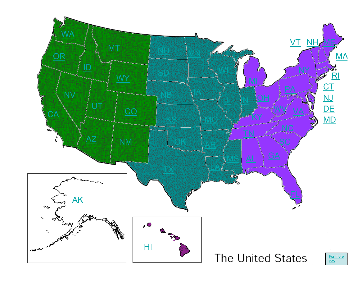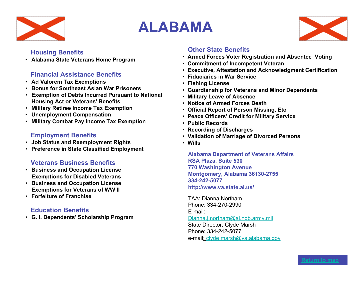

# **ALABAMA**



# **Housing Benefits**

• **Alabama State Veterans Home Program**

# **Financial Assistance Benefits**

- **Ad Valorem Tax Exemptions**
- **Bonus for Southeast Asian War Prisoners**
- **Exemption of Debts Incurred Pursuant to National Housing Act or Veterans' Benefits**
- **Military Retiree Income Tax Exemption**
- **Unemployment Compensation**
- **Military Combat Pay Income Tax Exemption**

# **Employment Benefits**

- **Job Status and Reemployment Rights**
- **Preference in State Classified Employment**

# **Veterans Business Benefits**

- **Business and Occupation License Exemptions for Disabled Veterans**
- **Business and Occupation License Exemptions for Veterans of WW II**
- **Forfeiture of Franchise**

# **Education Benefits**

• **G. I. Dependents' Scholarship Program**

# **Other State Benefits**

- • **Armed Forces Voter Registration and Absentee Voting**
- • **Commitment of Incompetent Veteran**
- • **Executive, Attestation and Acknowledgment Certification**
- • **Fiduciaries in War Service**
- • **Fishing License**
- • **Guardianship for Veterans and Minor Dependents**
- • **Military Leave of Absence**
- • **Notice of Armed Forces Death**
- • **Official Report of Person Missing, Etc**
- • **Peace Officers' Credit for Military Service**
- **Public Records**
- • **Recording of Discharges**
- • **Validation of Marriage of Divorced Persons**
- • **Wills**

**Alabama Department of Veterans Affairs RSA Plaza, Suite 530 770 Washington Avenue Montgomery, Alabama 36130-2755 334-242-5077 http://www.va.state.al.us/**

TAA: Dianna Northam Phone: 334-270-2990 E-mail: Dianna.j.northam@al.ngb.army.mil State Director: Clyde Marsh Phone: 334-242-5077 e-mail: clyde.marsh@va.alabama.gov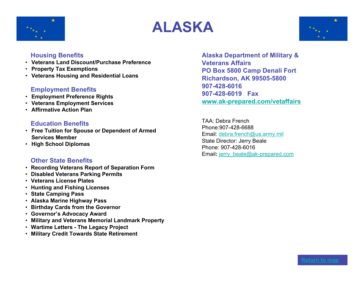





- **Veterans Land Discount/Purchase Preference**
- **Property Tax Exemptions**
- **Veterans Housing and Residential Loans**

# **Employment Benefits**

- **Employment Preference Rights**
- **Veterans Employment Services**
- **Affirmative Action Plan**

# **Education Benefits**

- **Free Tuition for Spouse or Dependent of Armed Services Member**
- **High School Diplomas**

#### **Other State Benefits**

- • **Recording Veterans Report of Separation Form**
- • **Disabled Veterans Parking Permits**
- • **Veterans License Plates**
- • **Hunting and Fishing Licenses**
- • **State Camping Pass**
- • **Alaska Marine Highway Pass**
- • **Birthday Cards from the Governor**
- • **Governor's Advocacy Award**
- • **Military and Veterans Memorial Landmark Property**
- • **Wartime Letters The Legacy Project**
- **Military Credit Towards State Retirement**

**Alaska Department of Military & Veterans Affairs PO Box 5800 Camp Denali Fort Richardson, AK 99505-5800 907-428-6016 907-428-6019 Fax www.ak-prepared.com/vetaffairs**

TAA: Debra French Phone:907-428-6688 Email: debra.french@us.army.mil State Director: Jerry Beale Phone: 907-428-6016 Email: jerry\_beale@ak-prepared.com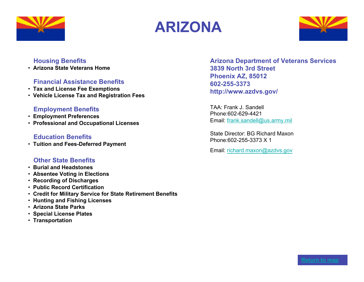





• **Arizona State Veterans Home**

# **Financial Assistance Benefits**

- • **Tax and License Fee Exemptions**
- • **Vehicle License Tax and Registration Fees**

# **Employment Benefits**

- • **Employment Preferences**
- • **Professional and Occupational Licenses**

# **Education Benefits**

• **Tuition and Fees-Deferred Payment**

# **Other State Benefits**

- • **Burial and Headstones**
- • **Absentee Voting in Elections**
- • **Recording of Discharges**
- • **Public Record Certification**
- • **Credit for Military Service for State Retirement Benefits**
- • **Hunting and Fishing Licenses**
- • **Arizona State Parks**
- • **Special License Plates**
- • **Transportation**

**Arizona Department of Veterans Services 3839 North 3rd Street Phoenix AZ, 85012 602-255-3373 http://www.azdvs.gov/**

TAA: Frank J. Sandell Phone:602-629-4421 Email: frank.sandell@us.army.mil

State Director: BG Richard Maxon Phone:602-255-3373 X 1

Email: richard.maxon@azdvs.gov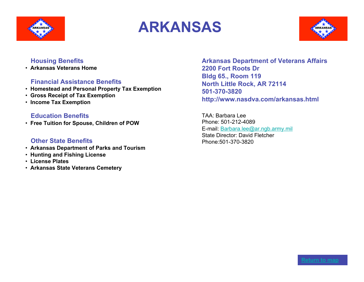





• **Arkansas Veterans Home**

#### **Financial Assistance Benefits**

- • **Homestead and Personal Property Tax Exemption**
- • **Gross Receipt of Tax Exemption**
- • **Income Tax Exemption**

#### **Education Benefits**

• **Free Tuition for Spouse, Children of POW**

#### **Other State Benefits**

- • **Arkansas Department of Parks and Tourism**
- • **Hunting and Fishing License**
- • **License Plates**
- • **Arkansas State Veterans Cemetery**

**Arkansas Department of Veterans Affairs 2200 Fort Roots Dr Bldg 65., Room 119 North Little Rock, AR 72114 501-370-3820 http://www.nasdva.com/arkansas.html**

TAA: Barbara Lee Phone: 501-212-4089 E-mail: Barbara.lee@ar.ngb.army.mil State Director: David Fletcher Phone:501-370-3820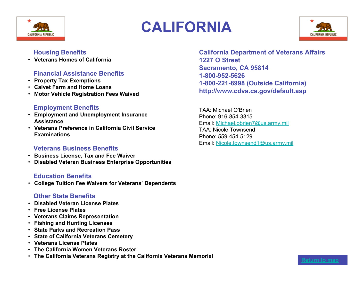

# **CALIFORNIA**



# **Housing Benefits**

• **Veterans Homes of California**

# **Financial Assistance Benefits**

- **Property Tax Exemptions**
- **Calvet Farm and Home Loans**
- **Motor Vehicle Registration Fees Waived**

#### **Employment Benefits**

- **Employment and Unemployment Insurance Assistance**
- **Veterans Preference in California Civil Service Examinations**

#### **Veterans Business Benefits**

- **Business License, Tax and Fee Waiver**
- **Disabled Veteran Business Enterprise Opportunities**

# **Education Benefits**

• **College Tuition Fee Waivers for Veterans' Dependents**

# **Other State Benefits**

- **Disabled Veteran License Plates**
- **Free License Plates**
- **Veterans Claims Representation**
- **Fishing and Hunting Licenses**
- **State Parks and Recreation Pass**
- **State of California Veterans Cemetery**
- **Veterans License Plates**
- **The California Women Veterans Roster**
- **The California Veterans Registry at the California Veterans Memorial Return to map**

**California Department of Veterans Affairs 1227 O Street Sacramento, CA 95814 1-800-952-5626 1-800-221-8998 (Outside California) http://www.cdva.ca.gov/default.asp**

TAA: Michael O'Brien Phone: 916-854-3315 Email: Michael.obrien7@us.army.mil TAA: Nicole Townsend Phone: 559-454-5129 Email: Nicole.townsend1@us.army.mil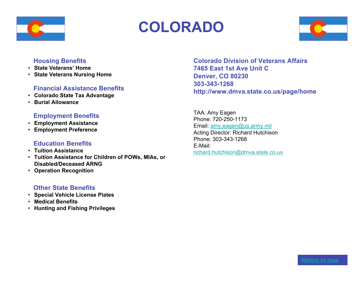

# **COLORADO**



#### **Housing Benefits**

- **State Veterans' Home**
- **State Veterans Nursing Home**

# **Financial Assistance Benefits**

- **Colorado State Tax Advantage**
- **Burial Allowance**

#### **Employment Benefits**

- **Employment Assistance**
- **Employment Preference**

# **Education Benefits**

- **Tuition Assistance**
- **Tuition Assistance for Children of POWs, MIAs, or Disabled/Deceased ARNG**
- **Operation Recognition**

# **Other State Benefits**

- **Special Vehicle License Plates**
- **Medical Benefits**
- **Hunting and Fishing Privileges**

**Colorado Division of Veterans Affairs 7465 East 1st Ave Unit C Denver, CO 80230 303-343-1268 http://www.dmva.state.co.us/page/home**

TAA: Amy Eagen Phone: 720-250-1173 Email: amy.eagen@us.army.mil Acting Director: Richard Hutchison Phone: 303-343-1268 E-Mail: richard.hutchison@dmva.state.co.us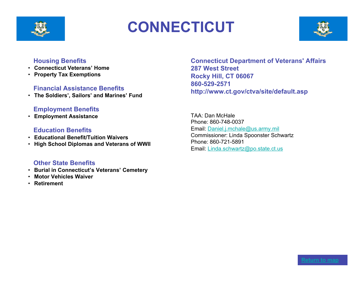

# **CONNECTICUT**



#### **Housing Benefits**

- **Connecticut Veterans' Home**
- **Property Tax Exemptions**

#### **Financial Assistance Benefits**

• **The Soldiers', Sailors' and Marines' Fund**

#### **Employment Benefits**

• **Employment Assistance**

#### **Education Benefits**

- **Educational Benefit/Tuition Waivers**
- **High School Diplomas and Veterans of WWII**

#### **Other State Benefits**

- **Burial in Connecticut's Veterans' Cemetery**
- **Motor Vehicles Waiver**
- **Retirement**

**Connecticut Department of Veterans' Affairs 287 West Street Rocky Hill, CT 06067 860-529-2571 http://www.ct.gov/ctva/site/default.asp**

TAA: Dan McHale Phone: 860-748-0037 Email: Daniel.j.mchale@us.army.mil Commissioner: Linda Spoonster Schwartz Phone: 860-721-5891 Email: Linda.schwartz@po.state.ct.us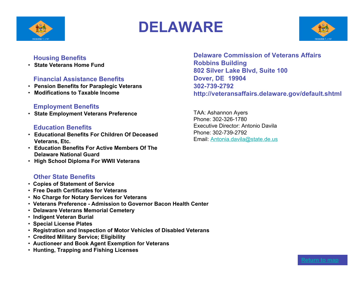

# **DELAWARE**



# **Housing Benefits**

• **State Veterans Home Fund**

# **Financial Assistance Benefits**

- **Pension Benefits for Paraplegic Veterans**
- **Modifications to Taxable Income**

#### **Employment Benefits**

• **State Employment Veterans Preference**

#### **Education Benefits**

- **Educational Benefits For Children Of Deceased Veterans, Etc.**
- **Education Benefits For Active Members Of The Delaware National Guard**
- **High School Diploma For WWII Veterans**

# **Other State Benefits**

- • **Copies of Statement of Service**
- • **Free Death Certificates for Veterans**
- • **No Charge for Notary Services for Veterans**
- • **Veterans Preference Admission to Governor Bacon Health Center**
- • **Delaware Veterans Memorial Cemetery**
- • **Indigent Veteran Burial**
- • **Special License Plates**
- • **Registration and Inspection of Motor Vehicles of Disabled Veterans**
- • **Credited Military Service; Eligibility**
- • **Auctioneer and Book Agent Exemption for Veterans**
- **Hunting, Trapping and Fishing Licenses**

**Delaware Commission of Veterans Affairs Robbins Building 802 Silver Lake Blvd, Suite 100 Dover, DE 19904 302-739-2792 http://veteransaffairs.delaware.gov/default.shtml**

TAA: Ashannon Ayers Phone: 302-326-1780 Executive Director: Antonio Davila Phone: 302-739-2792 Email: Antonia.davila@state.de.us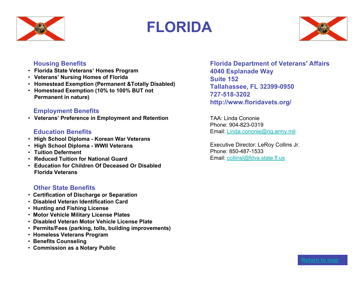

# **FLORIDA**



# **Housing Benefits**

- **Florida State Veterans' Homes Program**
- **Veterans' Nursing Homes of Florida**
- **Homestead Exemption (Permanent &Totally Disabled)**
- **Homestead Exemption (10% to 100% BUT not Permanent in nature)**

# **Employment Benefits**

• **Veterans' Preference in Employment and Retention**

# **Education Benefits**

- **High School Diploma Korean War Veterans**
- **High School Diploma WWII Veterans**
- **Tuition Deferment**
- **Reduced Tuition for National Guard**
- **Education for Children Of Deceased Or Disabled Florida Veterans**

# **Other State Benefits**

- • **Certification of Discharge or Separation**
- • **Disabled Veteran Identification Card**
- • **Hunting and Fishing License**
- • **Motor Vehicle Military License Plates**
- • **Disabled Veteran Motor Vehicle License Plate**
- • **Permits/Fees (parking, tolls, building improvements)**
- • **Homeless Veterans Program**
- • **Benefits Counseling**
- • **Commission as a Notary Public**

**Florida Department of Veterans' Affairs 4040 Esplanade Way Suite 152 Tallahassee, FL 32399-0950 727-518-3202 http://www.floridavets.org/**

TAA: Linda Cononie Phone: 904-823-0319 Email: Linda.cononie@ng.army.mil

Executive Director: LeRoy Collins Jr. Phone: 850-487-1533 Email: collinsl@fdva.state.fl.us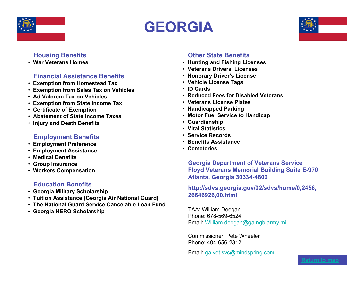

# **GEORGIA**



# **Housing Benefits**

• **War Veterans Homes**

#### **Financial Assistance Benefits**

- • **Exemption from Homestead Tax**
- • **Exemption from Sales Tax on Vehicles**
- • **Ad Valorem Tax on Vehicles**
- • **Exemption from State Income Tax**
- • **Certificate of Exemption**
- • **Abatement of State Income Taxes**
- • **Injury and Death Benefits**

# **Employment Benefits**

- • **Employment Preference**
- • **Employment Assistance**
- • **Medical Benefits**
- • **Group Insurance**
- • **Workers Compensation**

# **Education Benefits**

- • **Georgia Military Scholarship**
- • **Tuition Assistance (Georgia Air National Guard)**
- • **The National Guard Service Cancelable Loan Fund**
- • **Georgia HERO Scholarship**

# **Other State Benefits**

- • **Hunting and Fishing Licenses**
- • **Veterans Drivers' Licenses**
- • **Honorary Driver's License**
- • **Vehicle License Tags**
- • **ID Cards**
- • **Reduced Fees for Disabled Veterans**
- • **Veterans License Plates**
- • **Handicapped Parking**
- • **Motor Fuel Service to Handicap**
- • **Guardianship**
- **Vital Statistics**
- • **Service Records**
- • **Benefits Assistance**
- • **Cemeteries**

**Georgia Department of Veterans Service Floyd Veterans Memorial Building Suite E-970 Atlanta, Georgia 30334-4800**

#### **http://sdvs.georgia.gov/02/sdvs/home/0,2456, 26646926,00.html**

TAA: William Deegan Phone: 678-569-6524 Email: William.deegan@ga.ngb.army.mil

Commissioner: Pete Wheeler Phone: 404-656-2312

Email: ga.vet.svc@mindspring.com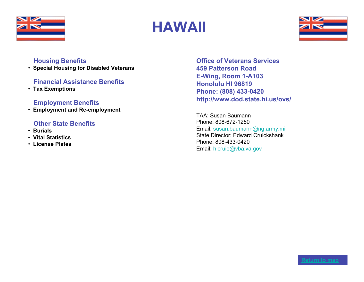

# **HAWAII**



# **Housing Benefits**

• **Special Housing for Disabled Veterans**

# **Financial Assistance Benefits**

• **Tax Exemptions**

# **Employment Benefits**

• **Employment and Re-employment**

# **Other State Benefits**

- • **Burials**
- • **Vital Statistics**
- • **License Plates**

**Office of Veterans Services 459 Patterson Road E-Wing, Room 1-A103 Honolulu HI 96819 Phone: (808) 433-0420 http://www.dod.state.hi.us/ovs/**

TAA: Susan Baumann Phone: 808-672-1250 Email: susan.baumann@ng.army.mil State Director: Edward Cruickshank Phone: 808-433-0420 Email: hicruie@vba.va.gov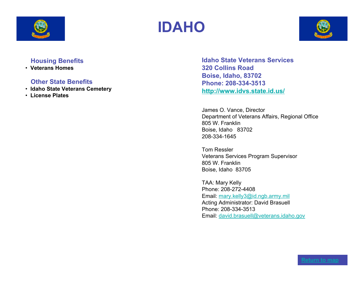





• **Veterans Homes**

#### **Other State Benefits**

- • **Idaho State Veterans Cemetery**
- • **License Plates**

**Idaho State Veterans Services 320 Collins Road Boise, Idaho, 83702 Phone: 208-334-3513 http://www.idvs.state.id.us/**

James O. Vance, Director Department of Veterans Affairs, Regional Office 805 W. Franklin Boise, Idaho 83702 208-334-1645

Tom Ressler Veterans Services Program Supervisor 805 W. Franklin Boise, Idaho 83705

TAA: Mary Kelly Phone: 208-272-4408 Email: mary.kelly3@id.ngb.army.mil Acting Administrator: David Brasuell Phone: 208-334-3513 Email: david.brasuell@veterans.idaho.gov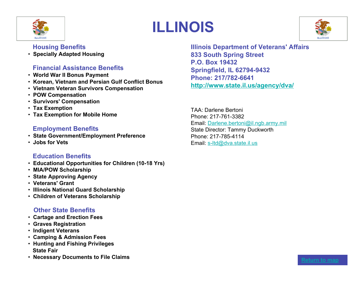

# **ILLINOIS**



# **Housing Benefits**

• **Specially Adapted Housing**

# **Financial Assistance Benefits**

- • **World War II Bonus Payment**
- • **Korean, Vietnam and Persian Gulf Conflict Bonus**
- • **Vietnam Veteran Survivors Compensation**
- • **POW Compensation**
- • **Survivors' Compensation**
- • **Tax Exemption**
- • **Tax Exemption for Mobile Home**

# **Employment Benefits**

- • **State Government/Employment Preference**
- • **Jobs for Vets**

# **Education Benefits**

- • **Educational Opportunities for Children (10-18 Yrs)**
- • **MIA/POW Scholarship**
- • **State Approving Agency**
- • **Veterans' Grant**
- • **Illinois National Guard Scholarship**
- • **Children of Veterans Scholarship**

# **Other State Benefits**

- • **Cartage and Erection Fees**
- • **Graves Registration**
- • **Indigent Veterans**
- • **Camping & Admission Fees**
- • **Hunting and Fishing Privileges State Fair**
- Necessary Documents to File Claims **Accessary Documents to File Claims**

**Illinois Department of Veterans' Affairs 833 South Spring Street P.O. Box 19432 Springfield, IL 62794-9432 Phone: 217/782-6641 http://www.state.il.us/agency/dva/**

TAA: Darlene Bertoni Phone: 217-761-3382 Email: Darlene.bertoni@il.ngb.army.mil State Director: Tammy Duckworth Phone: 217-785-4114 Email: s-ltd@dva.state.il.us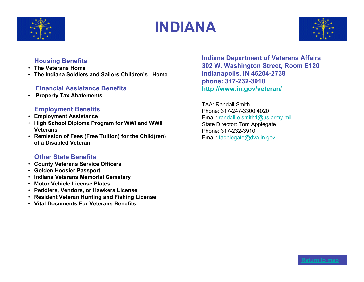

# **INDIANA**



# **Housing Benefits**

- **The Veterans Home**
- **The Indiana Soldiers and Sailors Children's Home**

# **Financial Assistance Benefits**

• **Property Tax Abatements**

# **Employment Benefits**

- **Employment Assistance**
- **High School Diploma Program for WWI and WWII Veterans**
- **Remission of Fees (Free Tuition) for the Child(ren) of a Disabled Veteran**

# **Other State Benefits**

- **County Veterans Service Officers**
- **Golden Hoosier Passport**
- **Indiana Veterans Memorial Cemetery**
- **Motor Vehicle License Plates**
- **Peddlers, Vendors, or Hawkers License**
- **Resident Veteran Hunting and Fishing License**
- **Vital Documents For Veterans Benefits**

**Indiana Department of Veterans Affairs 302 W. Washington Street, Room E120 Indianapolis, IN 46204-2738 phone: 317-232-3910 http://www.in.gov/veteran/**

TAA: Randall Smith Phone: 317-247-3300 4020 Email: randall.e.smith1@us.army.mil State Director: Tom Applegate Phone: 317-232-3910 Email: tapplegate@dva.in.gov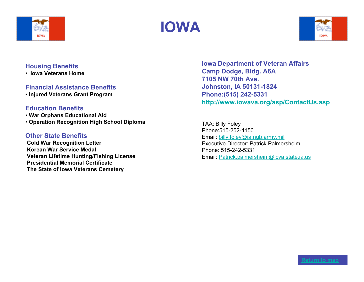





• **Iowa Veterans Home**

#### **Financial Assistance Benefits**

• **Injured Veterans Grant Program**

#### **Education Benefits**

• **War Orphans Educational Aid** • **Operation Recognition High School Diploma**

#### **Other State Benefits**

 **Cold War Recognition Letter Korean War Service Medal Veteran Lifetime Hunting/Fishing License Presidential Memorial Certificate The State of Iowa Veterans Cemetery**

**Iowa Department of Veteran Affairs Camp Dodge, Bldg. A6A 7105 NW 70th Ave. Johnston, IA 50131-1824 Phone:(515) 242-5331 http://www.iowava.org/asp/ContactUs.asp**

TAA: Billy Foley Phone:515-252-4150 Email: billy.foley@ia.ngb.army.mil Executive Director: Patrick Palmersheim Phone: 515-242-5331 Email: Patrick.palmersheim@icva.state.ia.us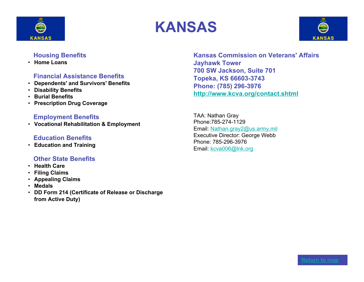





• **Home Loans**

# **Financial Assistance Benefits**

- **Dependents' and Survivors' Benefits**
- **Disability Benefits**
- **Burial Benefits**
- **Prescription Drug Coverage**

#### **Employment Benefits**

• **Vocational Rehabilitation & Employment**

# **Education Benefits**

• **Education and Training**

# **Other State Benefits**

- **Health Care**
- **Filing Claims**
- **Appealing Claims**
- **Medals**
- **DD Form 214 (Certificate of Release or Discharge from Active Duty)**

**Kansas Commission on Veterans' Affairs Jayhawk Tower 700 SW Jackson, Suite 701 Topeka, KS 66603-3743 Phone: (785) 296-3976 http://www.kcva.org/contact.shtml**

TAA: Nathan Gray Phone:785-274-1129 Email: Nathan.gray2@us.army.mil Executive Director: George Webb Phone: 785-296-3976 Email: kcva006@lnk.org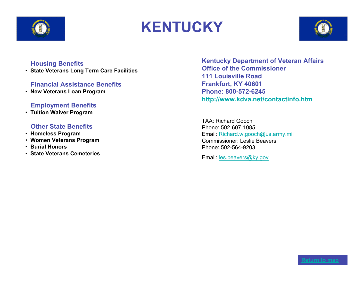

# **KENTUCKY**



#### **Housing Benefits**

• **State Veterans Long Term Care Facilities**

# **Financial Assistance Benefits**

• **New Veterans Loan Program**

# **Employment Benefits**

• **Tuition Waiver Program**

#### **Other State Benefits**

- • **Homeless Program**
- • **Women Veterans Program**
- • **Burial Honors**
- • **State Veterans Cemeteries**

**Kentucky Department of Veteran Affairs Office of the Commissioner 111 Louisville Road Frankfort, KY 40601 Phone: 800-572-6245 http://www.kdva.net/contactinfo.htm**

TAA: Richard Gooch Phone: 502-607-1085 Email: Richard.w.gooch@us.army.mil Commissioner: Leslie Beavers Phone: 502-564-9203

Email: les.beavers@ky.gov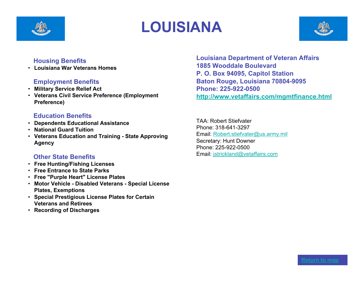

# **LOUISIANA**



#### **Housing Benefits**

• **Louisiana War Veterans Homes**

# **Employment Benefits**

- **Military Service Relief Act**
- **Veterans Civil Service Preference (Employment Preference)**

# **Education Benefits**

- **Dependents Educational Assistance**
- **National Guard Tuition**
- **Veterans Education and Training State Approving Agency**

# **Other State Benefits**

- **Free Hunting/Fishing Licenses**
- **Free Entrance to State Parks**
- **Free "Purple Heart" License Plates**
- **Motor Vehicle Disabled Veterans Special License Plates, Exemptions**
- **Special Prestigious License Plates for Certain Veterans and Retirees**
- **Recording of Discharges**

**Louisiana Department of Veteran Affairs 1885 Wooddale Boulevard P. O. Box 94095, Capitol Station Baton Rouge, Louisiana 70804-9095 Phone: 225-922-0500 http://www.vetaffairs.com/mgmtfinance.html**

TAA: Robert Stiefvater Phone: 318-641-3297 Email: Robert.stiefvater@us.army.mil Secretary: Hunt Downer Phone: 225-922-0500 Email: jstrickland@vetaffairs.com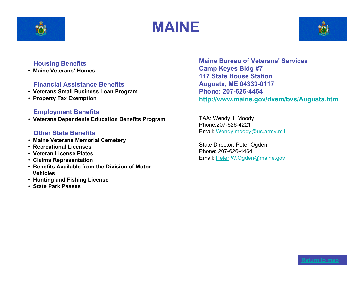





• **Maine Veterans' Homes**

# **Financial Assistance Benefits**

- • **Veterans Small Business Loan Program**
- • **Property Tax Exemption**

# **Employment Benefits**

• **Veterans Dependents Education Benefits Program**

#### **Other State Benefits**

- • **Maine Veterans Memorial Cemetery**
- • **Recreational Licenses**
- • **Veteran License Plates**
- • **Claims Representation**
- • **Benefits Available from the Division of Motor Vehicles**
- • **Hunting and Fishing License**
- • **State Park Passes**

**Maine Bureau of Veterans' Services Camp Keyes Bldg #7 117 State House Station Augusta, ME 04333-0117 Phone: 207-626-4464 http://www.maine.gov/dvem/bvs/Augusta.htm**

TAA: Wendy J. Moody Phone:207-626-4221 Email: Wendy.moody@us.army.mil

State Director: Peter Ogden Phone: 207-626-4464 Email: Peter.W.Ogden@maine.gov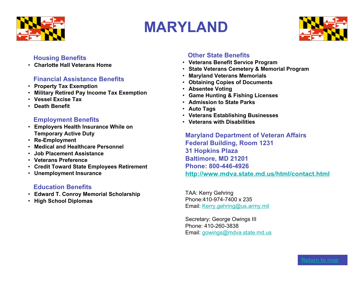

# **MARYLAND**



# **Housing Benefits**

• **Charlotte Hall Veterans Home**

# **Financial Assistance Benefits**

- **Property Tax Exemption**
- **Military Retired Pay Income Tax Exemption**
- **Vessel Excise Tax**
- **Death Benefit**

# **Employment Benefits**

- **Employers Health Insurance While on Temporary Active Duty**
- **Re-Employment**
- **Medical and Healthcare Personnel**
- **Job Placement Assistance**
- **Veterans Preference**
- **Credit Toward State Employees Retirement**
- **Unemployment Insurance**

# **Education Benefits**

- **Edward T. Conroy Memorial Scholarship**
- **High School Diplomas**

# **Other State Benefits**

- **Veterans Benefit Service Program**
- **State Veterans Cemetery & Memorial Program**
- **Maryland Veterans Memorials**
- **Obtaining Copies of Documents**
- **Absentee Voting**
- **Game Hunting & Fishing Licenses**
- **Admission to State Parks**
- **Auto Tags**
- **Veterans Establishing Businesses**
- **Veterans with Disabilities**

**Maryland Department of Veteran Affairs Federal Building, Room 1231 31 Hopkins Plaza Baltimore, MD 21201 Phone: 800-446-4926 http://www.mdva.state.md.us/html/contact.html**

TAA: Kerry Gehring Phone:410-974-7400 x 235 Email: Kerry.gehring@us.army.mil

Secretary: George Owings III Phone: 410-260-3838 Email: gowings@mdva.state.md.us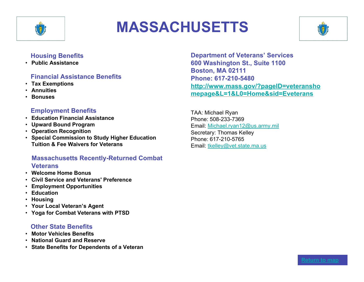

# **MASSACHUSETTS**



# **Housing Benefits**

• **Public Assistance**

# **Financial Assistance Benefits**

- **Tax Exemptions**
- **Annuities**
- **Bonuses**

# **Employment Benefits**

- **Education Financial Assistance**
- **Upward Bound Program**
- **Operation Recognition**
- **Special Commission to Study Higher Education Tuition & Fee Waivers for Veterans**

# **Massachusetts Recently-Returned Combat Veterans**

- **Welcome Home Bonus**
- **Civil Service and Veterans' Preference**
- **Employment Opportunities**
- **Education**
- **Housing**
- **Your Local Veteran's Agent**
- **Yoga for Combat Veterans with PTSD**

# **Other State Benefits**

- **Motor Vehicles Benefits**
- **National Guard and Reserve**
- **State Benefits for Dependents of a Veteran**

**Department of Veterans' Services 600 Washington St., Suite 1100 Boston, MA 02111 Phone: 617-210-5480 http://www.mass.gov/?pageID=veteransho mepage&L=1&L0=Home&sid=Eveterans**

TAA: Michael Ryan Phone: 508-233-7369 Email: Michael.ryan12@us.army.mil Secretary: Thomas Kelley Phone: 617-210-5765 Email: tkelley@vet.state.ma.us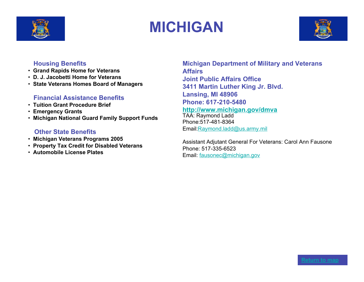

# **MICHIGAN**



# **Housing Benefits**

- • **Grand Rapids Home for Veterans**
- • **D. J. Jacobetti Home for Veterans**
- • **State Veterans Homes Board of Managers**

# **Financial Assistance Benefits**

- • **Tuition Grant Procedure Brief**
- • **Emergency Grants**
- • **Michigan National Guard Family Support Funds**

# **Other State Benefits**

- • **Michigan Veterans Programs 2005**
- • **Property Tax Credit for Disabled Veterans**
- • **Automobile License Plates**

**Michigan Department of Military and Veterans Affairs Joint Public Affairs Office 3411 Martin Luther King Jr. Blvd. Lansing, MI 48906 Phone: 617-210-5480**

#### **http://www.michigan.gov/dmva**

TAA: Raymond Ladd Phone:517-481-8364 Email:Raymond.ladd@us.army.mil

Assistant Adjutant General For Veterans: Carol Ann Fausone Phone: 517-335-6523 Email: fausonec@michigan.gov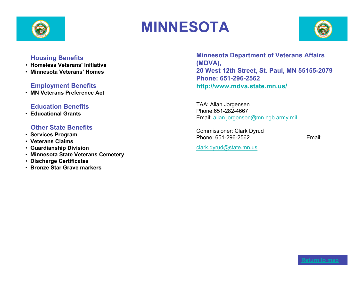

# **MINNESOTA**



#### **Housing Benefits**

- • **Homeless Veterans' Initiative**
- • **Minnesota Veterans' Homes**

# **Employment Benefits**

• **MN Veterans Preference Act**

#### **Education Benefits**

• **Educational Grants**

#### **Other State Benefits**

- • **Services Program**
- • **Veterans Claims**
- • **Guardianship Division**
- • **Minnesota State Veterans Cemetery**
- • **Discharge Certificates**
- • **Bronze Star Grave markers**

**Minnesota Department of Veterans Affairs (MDVA), 20 West 12th Street, St. Paul, MN 55155-2079 Phone: 651-296-2562 http://www.mdva.state.mn.us/**

TAA: Allan Jorgensen Phone:651-282-4667 Email: allan.jorgensen@mn.ngb.army.mil

Commissioner: Clark Dyrud Phone: 651-296-2562 Email:

clark.dyrud@state.mn.us

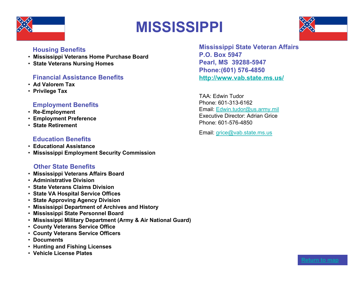

# **MISSISSIPPI**



# **Housing Benefits**

- • **Mississippi Veterans Home Purchase Board**
- • **State Veterans Nursing Homes**

# **Financial Assistance Benefits**

- • **Ad Valorem Tax**
- • **Privilege Tax**

# **Employment Benefits**

- • **Re-Employment**
- • **Employment Preference**
- • **State Retirement**

#### **Education Benefits**

- • **Educational Assistance**
- • **Mississippi Employment Security Commission**

# **Other State Benefits**

- • **Mississippi Veterans Affairs Board**
- • **Administrative Division**
- • **State Veterans Claims Division**
- • **State VA Hospital Service Offices**
- • **State Approving Agency Division**
- • **Mississippi Department of Archives and History**
- • **Mississippi State Personnel Board**
- • **Mississippi Military Department (Army & Air National Guard)**
- • **County Veterans Service Office**
- • **County Veterans Service Officers**
- • **Documents**
- • **Hunting and Fishing Licenses**
- • **Vehicle License Plates**

**Mississippi State Veteran Affairs P.O. Box 5947 Pearl, MS 39288-5947 Phone:(601) 576-4850 http://www.vab.state.ms.us/**

TAA: Edwin Tudor Phone: 601-313-6162 Email: Edwin.tudor@us.army.mil Executive Director: Adrian Grice Phone: 601-576-4850

Email: grice@vab.state.ms.us

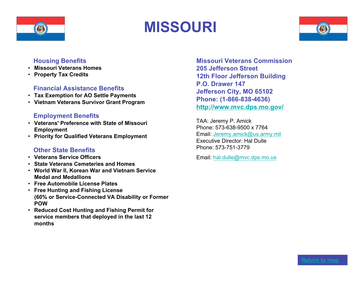

# **MISSOURI**



#### **Housing Benefits**

- **Missouri Veterans Homes**
- **Property Tax Credits**

# **Financial Assistance Benefits**

- **Tax Exemption for AO Settle Payments**
- **Vietnam Veterans Survivor Grant Program**

#### **Employment Benefits**

- **Veterans' Preference with State of Missouri Employment**
- **Priority for Qualified Veterans Employment**

# **Other State Benefits**

- **Veterans Service Officers**
- **State Veterans Cemeteries and Homes**
- **World War II, Korean War and Vietnam Service Medal and Medallions**
- **Free Automobile License Plates**
- **Free Hunting and Fishing License (60% or Service-Connected VA Disability or Former POW**
- **Reduced Cost Hunting and Fishing Permit for service members that deployed in the last 12 months**

**Missouri Veterans Commission 205 Jefferson Street 12th Floor Jefferson Building P.O. Drawer 147 Jefferson City, MO 65102 Phone: (1-866-838-4636) http://www.mvc.dps.mo.gov/**

TAA: Jeremy P. Amick Phone: 573-638-9500 x 7764 Email: Jeremy.amick@us.army.mil Executive Director: Hal Dulle Phone: 573-751-3779

Email: hal.dulle@mvc.dps.mo.us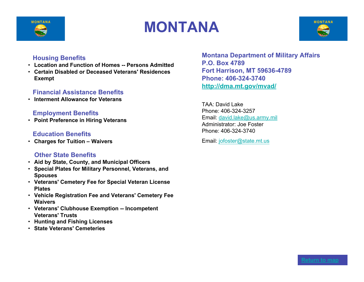

# **MONTANA**



#### **Housing Benefits**

- **Location and Function of Homes -- Persons Admitted**
- **Certain Disabled or Deceased Veterans' Residences Exempt**

#### **Financial Assistance Benefits**

• **Interment Allowance for Veterans**

#### **Employment Benefits**

• **Point Preference in Hiring Veterans**

#### **Education Benefits**

• **Charges for Tuition – Waivers**

#### **Other State Benefits**

- **Aid by State, County, and Municipal Officers**
- **Special Plates for Military Personnel, Veterans, and Spouses**
- **Veterans' Cemetery Fee for Special Veteran License Plates**
- **Vehicle Registration Fee and Veterans' Cemetery Fee Waivers**
- **Veterans' Clubhouse Exemption -- Incompetent Veterans' Trusts**
- **Hunting and Fishing Licenses**
- **State Veterans' Cemeteries**

**Montana Department of Military Affairs P.O. Box 4789 Fort Harrison, MT 59636-4789 Phone: 406-324-3740 http://dma.mt.gov/mvad/**

TAA: David Lake Phone: 406-324-3257 Email: david.lake@us.army.mil Administrator: Joe Foster Phone: 406-324-3740

Email: jofoster@state.mt.us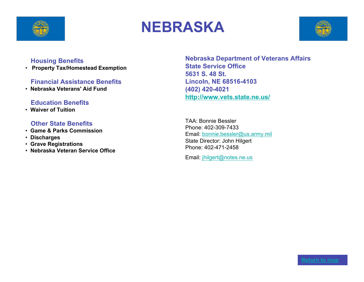

# **NEBRASKA**



#### **Housing Benefits**

• **Property Tax/Homestead Exemption**

#### **Financial Assistance Benefits**

• **Nebraska Veterans' Aid Fund**

#### **Education Benefits**

• **Waiver of Tuition**

#### **Other State Benefits**

- • **Game & Parks Commission**
- • **Discharges**
- • **Grave Registrations**
- • **Nebraska Veteran Service Office**

**Nebraska Department of Veterans Affairs State Service Office 5631 S. 48 St. Lincoln, NE 68516-4103 (402) 420-4021 http://www.vets.state.ne.us/**

TAA: Bonnie Bessler Phone: 402-309-7433 Email: bonnie.bessler@us.army.mil State Director: John Hilgert Phone: 402-471-2458

Email: jhilgert@notes.ne.us

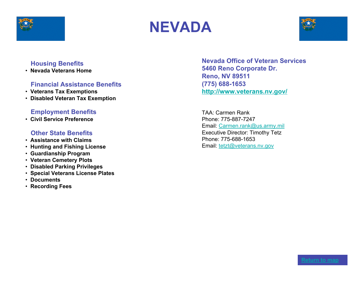





• **Nevada Veterans Home**

# **Financial Assistance Benefits**

- • **Veterans Tax Exemptions**
- • **Disabled Veteran Tax Exemption**

# **Employment Benefits**

• **Civil Service Preference**

#### **Other State Benefits**

- • **Assistance with Claims**
- • **Hunting and Fishing License**
- • **Guardianship Program**
- • **Veteran Cemetery Plots**
- • **Disabled Parking Privileges**
- • **Special Veterans License Plates**
- • **Documents**
- • **Recording Fees**

**Nevada Office of Veteran Services 5460 Reno Corporate Dr. Reno, NV 89511 (775) 688-1653 http://www.veterans.nv.gov/**

TAA: Carmen Rank Phone: 775-887-7247 Email: Carmen.rank@us.army.mil Executive Director: Timothy Tetz Phone: 775-688-1653 Email: tetzt@veterans.nv.gov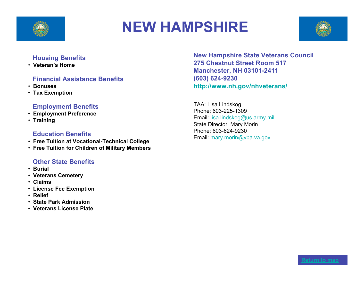

# **NEW HAMPSHIRE**



#### **Housing Benefits**

• **Veteran's Home**

# **Financial Assistance Benefits**

- • **Bonuses**
- • **Tax Exemption**

# **Employment Benefits**

- • **Employment Preference**
- • **Training**

# **Education Benefits**

- • **Free Tuition at Vocational-Technical College**
- • **Free Tuition for Children of Military Members**

# **Other State Benefits**

- • **Burial**
- • **Veterans Cemetery**
- • **Claims**
- • **License Fee Exemption**
- • **Relief**
- • **State Park Admission**
- • **Veterans License Plate**

**New Hampshire State Veterans Council 275 Chestnut Street Room 517 Manchester, NH 03101-2411 (603) 624-9230 http://www.nh.gov/nhveterans/**

TAA: Lisa Lindskog Phone: 603-225-1309 Email: lisa.lindskog@us.army.mil State Director: Mary Morin Phone: 603-624-9230 Email: mary.morin@vba.va.gov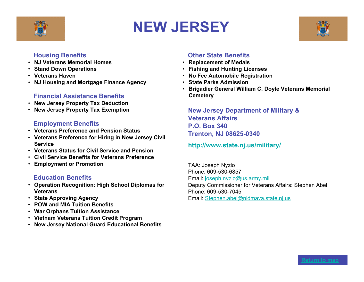

# **NEW JERSEY**



#### **Housing Benefits**

- **NJ Veterans Memorial Homes**
- **Stand Down Operations**
- **Veterans Haven**
- **NJ Housing and Mortgage Finance Agency**

# **Financial Assistance Benefits**

- **New Jersey Property Tax Deduction**
- **New Jersey Property Tax Exemption**

# **Employment Benefits**

- **Veterans Preference and Pension Status**
- **Veterans Preference for Hiring in New Jersey Civil Service**
- **Veterans Status for Civil Service and Pension**
- **Civil Service Benefits for Veterans Preference**
- **Employment or Promotion**

# **Education Benefits**

- **Operation Recognition: High School Diplomas for Veterans**
- **State Approving Agency**
- **POW and MIA Tuition Benefits**
- **War Orphans Tuition Assistance**
- **Vietnam Veterans Tuition Credit Program**
- **New Jersey National Guard Educational Benefits**

# **Other State Benefits**

- **Replacement of Medals**
- **Fishing and Hunting Licenses**
- **No Fee Automobile Registration**
- **State Parks Admission**
- **Brigadier General William C. Doyle Veterans Memorial Cemetery**

**New Jersey Department of Military & Veterans Affairs P.O. Box 340 Trenton, NJ 08625-0340**

**http://www.state.nj.us/military/**

TAA: Joseph Nyzio Phone: 609-530-6857 Email: joseph.nyzio@us.army.mil Deputy Commissioner for Veterans Affairs: Stephen Abel Phone: 609-530-7045 Email: Stephen.abel@nidmava.state.nj.us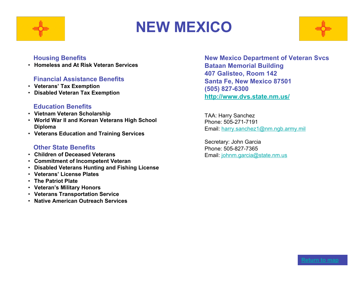

# **NEW MEXICO**



#### **Housing Benefits**

• **Homeless and At Risk Veteran Services**

#### **Financial Assistance Benefits**

- **Veterans' Tax Exemption**
- **Disabled Veteran Tax Exemption**

#### **Education Benefits**

- **Vietnam Veteran Scholarship**
- **World War II and Korean Veterans High School Diploma**
- **Veterans Education and Training Services**

#### **Other State Benefits**

- **Children of Deceased Veterans**
- **Commitment of Incompetent Veteran**
- **Disabled Veterans Hunting and Fishing License**
- **Veterans' License Plates**
- **The Patriot Plate**
- **Veteran's Military Honors**
- **Veterans Transportation Service**
- **Native American Outreach Services**

**New Mexico Department of Veteran Svcs Bataan Memorial Building 407 Galisteo, Room 142 Santa Fe, New Mexico 87501 (505) 827-6300 http://www.dvs.state.nm.us/**

TAA: Harry Sanchez Phone: 505-271-7191 Email: harry.sanchez1@nm.ngb.army.mil

Secretary: John Garcia Phone: 505-827-7365 Email: johnm.garcia@state.nm.us

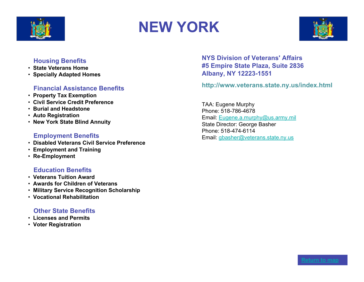

# **NEW YORK**



#### **Housing Benefits**

- • **State Veterans Home**
- • **Specially Adapted Homes**

# **Financial Assistance Benefits**

- • **Property Tax Exemption**
- • **Civil Service Credit Preference**
- • **Burial and Headstone**
- • **Auto Registration**
- • **New York State Blind Annuity**

#### **Employment Benefits**

- • **Disabled Veterans Civil Service Preference**
- • **Employment and Training**
- • **Re-Employment**

# **Education Benefits**

- • **Veterans Tuition Award**
- • **Awards for Children of Veterans**
- • **Military Service Recognition Scholarship**
- • **Vocational Rehabilitation**

#### **Other State Benefits**

- • **Licenses and Permits**
- • **Voter Registration**

**NYS Division of Veterans' Affairs #5 Empire State Plaza, Suite 2836 Albany, NY 12223-1551**

**http://www.veterans.state.ny.us/index.html**

TAA: Eugene Murphy Phone: 518-786-4678 Email: Eugene.a.murphy@us.army.mil State Director: George Basher Phone: 518-474-6114 Email: gbasher@veterans.state.ny.us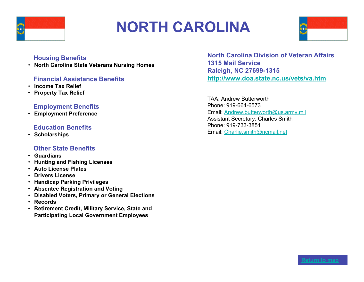

# **NORTH CAROLINA**



#### **Housing Benefits**

• **North Carolina State Veterans Nursing Homes**

#### **Financial Assistance Benefits**

- **Income Tax Relief**
- **Property Tax Relief**

#### **Employment Benefits**

• **Employment Preference**

#### **Education Benefits**

• **Scholarships**

#### **Other State Benefits**

- **Guardians**
- **Hunting and Fishing Licenses**
- **Auto License Plates**
- **Drivers License**
- **Handicap Parking Privileges**
- **Absentee Registration and Voting**
- **Disabled Voters, Primary or General Elections**
- **Records**
- **Retirement Credit, Military Service, State and Participating Local Government Employees**

**North Carolina Division of Veteran Affairs 1315 Mail Service Raleigh, NC 27699-1315 http://www.doa.state.nc.us/vets/va.htm**

TAA: Andrew Butterworth Phone: 919-664-6573 Email: Andrew.butterworth@us.army.mil Assistant Secretary: Charles Smith Phone: 919-733-3851 Email: Charlie.smith@ncmail.net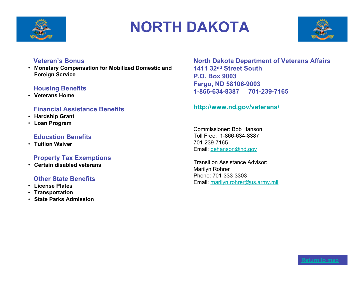

# **NORTH DAKOTA**



#### **Veteran's Bonus**

• **Monetary Compensation for Mobilized Domestic and Foreign Service**

# **Housing Benefits**

• **Veterans Home**

# **Financial Assistance Benefits**

- **Hardship Grant**
- **Loan Program**

# **Education Benefits**

• **Tuition Waiver**

# **Property Tax Exemptions**

• **Certain disabled veterans**

# **Other State Benefits**

- **License Plates**
- **Transportation**
- **State Parks Admission**

**North Dakota Department of Veterans Affairs 1411 32nd Street South P.O. Box 9003 Fargo, ND 58106-9003 1-866-634-8387 701-239-7165**

#### **http://www.nd.gov/veterans/**

Commissioner: Bob Hanson Toll Free: 1-866-634-8387 701-239-7165 Email: behanson@nd.gov

Transition Assistance Advisor: Marilyn Rohrer Phone: 701-333-3303 Email: marilyn.rohrer@us.army.mil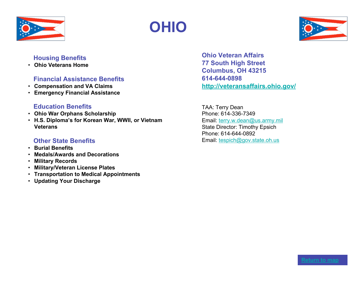

# **OHIO**



#### **Housing Benefits**

• **Ohio Veterans Home**

# **Financial Assistance Benefits**

- **Compensation and VA Claims**
- **Emergency Financial Assistance**

#### **Education Benefits**

- **Ohio War Orphans Scholarship**
- **H.S. Diploma's for Korean War, WWII, or Vietnam Veterans**

# **Other State Benefits**

- **Burial Benefits**
- **Medals/Awards and Decorations**
- **Military Records**
- **Military/Veteran License Plates**
- **Transportation to Medical Appointments**
- **Updating Your Discharge**

**Ohio Veteran Affairs 77 South High Street Columbus, OH 43215 614-644-0898 http://veteransaffairs.ohio.gov/**

TAA: Terry Dean Phone: 614-336-7349 Email: terry.w.dean@us.army.mil State Director: Timothy Epsich Phone: 614-644-0892 Email: tespich@gov.state.oh.us

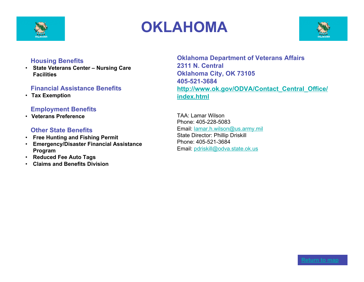

# **OKLAHOMA**



#### **Housing Benefits**

• **State Veterans Center – Nursing Care Facilities**

# **Financial Assistance Benefits**

• **Tax Exemption**

# **Employment Benefits**

• **Veterans Preference**

#### **Other State Benefits**

- • **Free Hunting and Fishing Permit**
- • **Emergency/Disaster Financial Assistance Program**
- • **Reduced Fee Auto Tags**
- • **Claims and Benefits Division**

**Oklahoma Department of Veterans Affairs 2311 N. Central Oklahoma City, OK 73105 405-521-3684 http://www.ok.gov/ODVA/Contact\_Central\_Office/ index.html**

TAA: Lamar Wilson Phone: 405-228-5083 Email: lamar.h.wilson@us.army.mil State Director: Phillip Driskill Phone: 405-521-3684 Email: pdriskill@odva.state.ok.us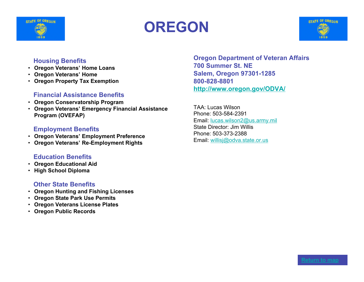

# **OREGON**



#### **Housing Benefits**

- **Oregon Veterans' Home Loans**
- **Oregon Veterans' Home**
- **Oregon Property Tax Exemption**

#### **Financial Assistance Benefits**

- **Oregon Conservatorship Program**
- **Oregon Veterans' Emergency Financial Assistance Program (OVEFAP)**

# **Employment Benefits**

- **Oregon Veterans' Employment Preference**
- **Oregon Veterans' Re-Employment Rights**

# **Education Benefits**

- **Oregon Educational Aid**
- **High School Diploma**

# **Other State Benefits**

- **Oregon Hunting and Fishing Licenses**
- **Oregon State Park Use Permits**
- **Oregon Veterans License Plates**
- **Oregon Public Records**

**Oregon Department of Veteran Affairs 700 Summer St. NE Salem, Oregon 97301-1285 800-828-8801 http://www.oregon.gov/ODVA/**

TAA: Lucas Wilson Phone: 503-584-2391 Email: lucas.wilson2@us.army.mil State Director: Jim Willis Phone: 503-373-2388 Email: willisj@odva.state.or.us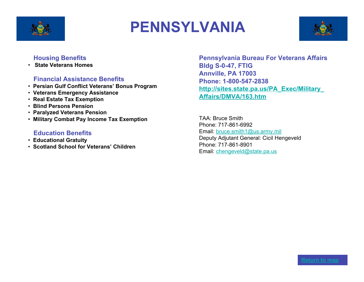

# **PENNSYLVANIA**



#### **Housing Benefits**

• **State Veterans Homes**

# **Financial Assistance Benefits**

- • **Persian Gulf Conflict Veterans' Bonus Program**
- • **Veterans Emergency Assistance**
- • **Real Estate Tax Exemption**
- • **Blind Persons Pension**
- • **Paralyzed Veterans Pension**
- • **Military Combat Pay Income Tax Exemption**

#### **Education Benefits**

- • **Educational Gratuity**
- • **Scotland School for Veterans' Children**

**Pennsylvania Bureau For Veterans Affairs Bldg S-0-47, FTIG Annville, PA 17003 Phone: 1-800-547-2838 http://sites.state.pa.us/PA\_Exec/Military\_ Affairs/DMVA/163.htm**

TAA: Bruce Smith Phone: 717-861-6992 Email: bruce.smith1@us.army.mil Deputy Adjutant General: Cicil Hengeveld Phone: 717-861-8901 Email: chengeveld@state.pa.us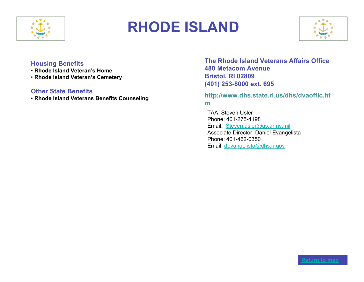

# **RHODE ISLAND**



#### **Housing Benefits**

- • **Rhode Island Veteran's Home**
- • **Rhode Island Veteran's Cemetery**

#### **Other State Benefits**

• **Rhode Island Veterans Benefits Counseling**

**The Rhode Island Veterans Affairs Office 480 Metacom Avenue Bristol, RI 02809 (401) 253-8000 ext. 695**

# **http://www.dhs.state.ri.us/dhs/dvaoffic.ht m**

TAA: Steven Usler Phone: 401-275-4198 Email: Steven.usler@us.army.mil Associate Director: Daniel Evangelista Phone: 401-462-0350 Email: devangelista@dhs.ri.gov

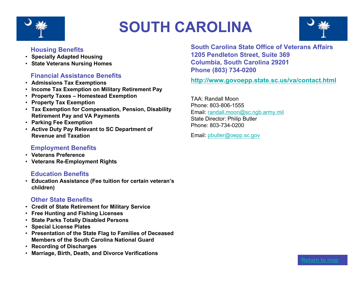

# **SOUTH CAROLINA**



# **Housing Benefits**

- **Specially Adapted Housing**
- **State Veterans Nursing Homes**

#### **Financial Assistance Benefits**

- **Admissions Tax Exemptions**
- **Income Tax Exemption on Military Retirement Pay**
- **Property Taxes – Homestead Exemption**
- **Property Tax Exemption**
- **Tax Exemption for Compensation, Pension, Disability Retirement Pay and VA Payments**
- **Parking Fee Exemption**
- **Active Duty Pay Relevant to SC Department of Revenue and Taxation**

#### **Employment Benefits**

- **Veterans Preference**
- **Veterans Re-Employment Rights**

#### **Education Benefits**

• **Education Assistance (Fee tuition for certain veteran's children)**

#### **Other State Benefits**

- **Credit of State Retirement for Military Service**
- **Free Hunting and Fishing Licenses**
- **State Parks Totally Disabled Persons**
- **Special License Plates**
- **Presentation of the State Flag to Families of Deceased Members of the South Carolina National Guard**
- **Recording of Discharges**
- **Marriage, Birth, Death, and Divorce Verifications**

**South Carolina State Office of Veterans Affairs 1205 Pendleton Street, Suite 369 Columbia, South Carolina 29201 Phone (803) 734-0200**

**http://www.govoepp.state.sc.us/va/contact.html**

TAA: Randall Moon Phone: 803-806-1555 Email: randall.moon@sc.ngb.army.mil State Director: Philip Butler Phone: 803-734-0200

Email: pbutler@oepp.sc.gov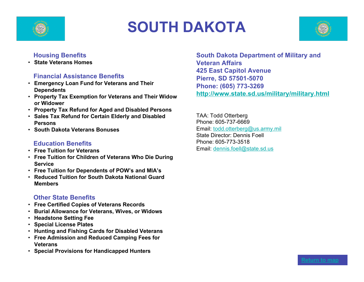

# **SOUTH DAKOTA**



# **Housing Benefits**

• **State Veterans Homes**

# **Financial Assistance Benefits**

- **Emergency Loan Fund for Veterans and Their Dependents**
- **Property Tax Exemption for Veterans and Their Widow or Widower**
- **Property Tax Refund for Aged and Disabled Persons**
- **Sales Tax Refund for Certain Elderly and Disabled Persons**
- **South Dakota Veterans Bonuses**

# **Education Benefits**

- **Free Tuition for Veterans**
- **Free Tuition for Children of Veterans Who Die During Service**
- **Free Tuition for Dependents of POW's and MIA's**
- **Reduced Tuition for South Dakota National Guard Members**

#### **Other State Benefits**

- **Free Certified Copies of Veterans Records**
- **Burial Allowance for Veterans, Wives, or Widows**
- **Headstone Setting Fee**
- **Special License Plates**
- **Hunting and Fishing Cards for Disabled Veterans**
- **Free Admission and Reduced Camping Fees for Veterans**
- **Special Provisions for Handicapped Hunters**

**South Dakota Department of Military and Veteran Affairs 425 East Capitol Avenue Pierre, SD 57501-5070 Phone: (605) 773-3269 http://www.state.sd.us/military/military.html**

TAA: Todd Otterberg Phone: 605-737-6669 Email: todd.otterberg@us.army.mil State Director: Dennis Foell Phone: 605-773-3518 Email: dennis.foell@state.sd.us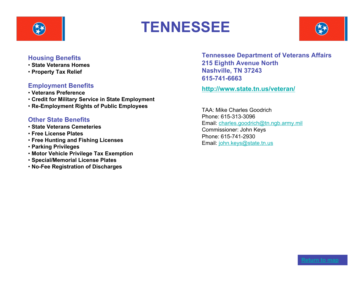

# **TENNESSEE**



#### **Housing Benefits**

- • **State Veterans Homes**
- • **Property Tax Relief**

# **Employment Benefits**

- • **Veterans Preference**
- • **Credit for Military Service in State Employment**
- • **Re-Employment Rights of Public Employees**

# **Other State Benefits**

- • **State Veterans Cemeteries**
- • **Free License Plates**
- • **Free Hunting and Fishing Licenses**
- • **Parking Privileges**
- • **Motor Vehicle Privilege Tax Exemption**
- • **Special/Memorial License Plates**
- • **No-Fee Registration of Discharges**

**Tennessee Department of Veterans Affairs 215 Eighth Avenue North Nashville, TN 37243 615-741-6663**

**http://www.state.tn.us/veteran/**

TAA: Mike Charles Goodrich Phone: 615-313-3096 Email: charles.goodrich@tn.ngb.army.mil Commissioner: John Keys Phone: 615-741-2930 Email: john.keys@state.tn.us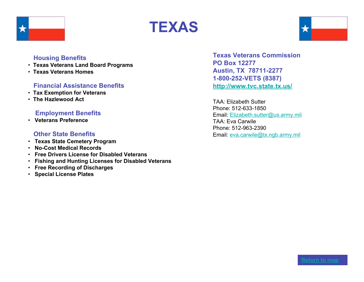





- • **Texas Veterans Land Board Programs**
- • **Texas Veterans Homes**

#### **Financial Assistance Benefits**

- • **Tax Exemption for Veterans**
- • **The Hazlewood Act**

#### **Employment Benefits**

• **Veterans Preference**

#### **Other State Benefits**

- • **Texas State Cemetery Program**
- • **No-Cost Medical Records**
- • **Free Drivers License for Disabled Veterans**
- • **Fishing and Hunting Licenses for Disabled Veterans**
- • **Free Recording of Discharges**
- • **Special License Plates**

**Texas Veterans Commission PO Box 12277 Austin, TX 78711-2277 1-800-252-VETS (8387) http://www.tvc.state.tx.us/**

TAA: Elizabeth Sutter Phone: 512-633-1850 Email: Elizabeth.sutter@us.army.mil TAA: Eva Carwile Phone: 512-963-2390 Email: eva.carwile@tx.ngb.army.mil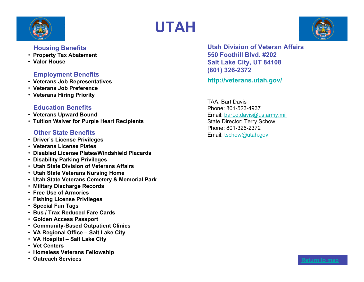

# **UTAH**

#### **Housing Benefits**

- • **Property Tax Abatement**
- • **Valor House**

# **Employment Benefits**

- • **Veterans Job Representatives**
- • **Veterans Job Preference**
- • **Veterans Hiring Priority**

# **Education Benefits**

- • **Veterans Upward Bound**
- • **Tuition Waiver for Purple Heart Recipients**

# **Other State Benefits**

- • **Driver's License Privileges**
- • **Veterans License Plates**
- • **Disabled License Plates/Windshield Placards**
- • **Disability Parking Privileges**
- • **Utah State Division of Veterans Affairs**
- • **Utah State Veterans Nursing Home**
- • **Utah State Veterans Cemetery & Memorial Park**
- • **Military Discharge Records**
- • **Free Use of Armories**
- • **Fishing License Privileges**
- **Special Fun Tags**
- • **Bus / Trax Reduced Fare Cards**
- • **Golden Access Passport**
- • **Community-Based Outpatient Clinics**
- • **VA Regional Office – Salt Lake City**
- • **VA Hospital – Salt Lake City**
- • **Vet Centers**
- • **Homeless Veterans Fellowship**
- Outreach Services **Return to map**

**Utah Division of Veteran Affairs 550 Foothill Blvd. #202 Salt Lake City, UT 84108 (801) 326-2372**

**http://veterans.utah.gov/**

TAA: Bart Davis Phone: 801-523-4937 Email: bart.o.davis@us.army.mil State Director: Terry Schow Phone: 801-326-2372 Email: tschow@utah.gov

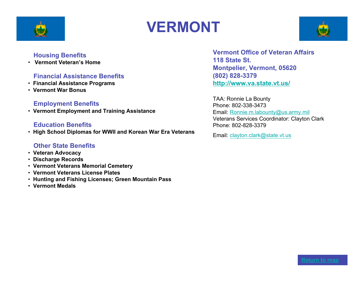

# **VERMONT**



#### **Housing Benefits**

• **Vermont Veteran's Home**

#### **Financial Assistance Benefits**

- • **Financial Assistance Programs**
- • **Vermont War Bonus**

#### **Employment Benefits**

• **Vermont Employment and Training Assistance**

#### **Education Benefits**

• **High School Diplomas for WWII and Korean War Era Veterans**

#### **Other State Benefits**

- • **Veteran Advocacy**
- • **Discharge Records**
- • **Vermont Veterans Memorial Cemetery**
- • **Vermont Veterans License Plates**
- • **Hunting and Fishing Licenses; Green Mountain Pass**
- • **Vermont Medals**

**Vermont Office of Veteran Affairs 118 State St. Montpelier, Vermont, 05620 (802) 828-3379 http://www.va.state.vt.us/**

TAA: Ronnie La Bounty Phone: 802-338-3473 Email: Ronnie.m.labounty@us.army.mil Veterans Services Coordinator: Clayton Clark Phone: 802-828-3379

Email: clayton.clark@state.vt.us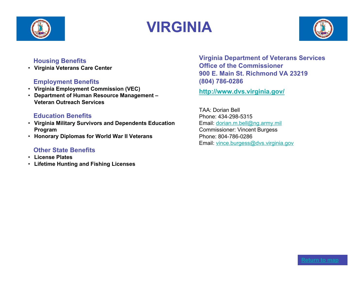

# **VIRGINIA**



# **Housing Benefits**

• **Virginia Veterans Care Center**

# **Employment Benefits**

- **Virginia Employment Commission (VEC)**
- **Department of Human Resource Management – Veteran Outreach Services**

# **Education Benefits**

- **Virginia Military Survivors and Dependents Education Program**
- **Honorary Diplomas for World War II Veterans**

# **Other State Benefits**

- **License Plates**
- **Lifetime Hunting and Fishing Licenses**

**Virginia Department of Veterans Services Office of the Commissioner 900 E. Main St. Richmond VA 23219 (804) 786-0286**

**http://www.dvs.virginia.gov/**

TAA: Dorian Bell Phone: 434-298-5315 Email: dorian.m.bell@ng.army.mil Commissioner: Vincent Burgess Phone: 804-786-0286 Email: vince.burgess@dvs.virginia.gov

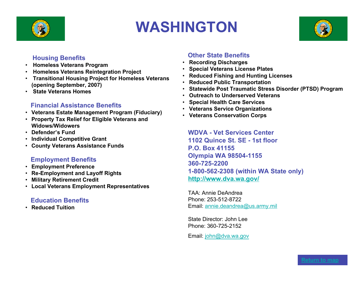

# **WASHINGTON**



#### **Housing Benefits**

- • **Homeless Veterans Program**
- • **Homeless Veterans Reintegration Project**
- • **Transitional Housing Project for Homeless Veterans (opening September, 2007)**
- • **State Veterans Homes**

#### **Financial Assistance Benefits**

- **Veterans Estate Management Program (Fiduciary)**
- **Property Tax Relief for Eligible Veterans and Widows/Widowers**
- **Defender's Fund**
- **Individual Competitive Grant**
- **County Veterans Assistance Funds**

# **Employment Benefits**

- **Employment Preference**
- **Re-Employment and Layoff Rights**
- **Military Retirement Credit**
- **Local Veterans Employment Representatives**

# **Education Benefits**

• **Reduced Tuition**

# **Other State Benefits**

- • **Recording Discharges**
- • **Special Veterans License Plates**
- • **Reduced Fishing and Hunting Licenses**
- • **Reduced Public Transportation**
- • **Statewide Post Traumatic Stress Disorder (PTSD) Program**
- • **Outreach to Underserved Veterans**
- • **Special Health Care Services**
- • **Veterans Service Organizations**
- • **Veterans Conservation Corps**

**WDVA - Vet Services Center 1102 Quince St. SE - 1st floor P.O. Box 41155 Olympia WA 98504-1155 360-725-2200 1-800-562-2308 (within WA State only) http://www.dva.wa.gov/**

TAA: Annie DeAndrea Phone: 253-512-8722 Email: annie.deandrea@us.army.mil

State Director: John Lee Phone: 360-725-2152

Email: john@dva.wa.gov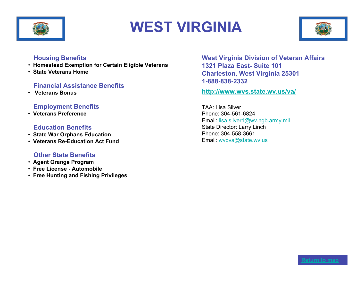

# **WEST VIRGINIA**



#### **Housing Benefits**

- • **Homestead Exemption for Certain Eligible Veterans**
- • **State Veterans Home**

#### **Financial Assistance Benefits**

• **Veterans Bonus**

#### **Employment Benefits**

• **Veterans Preference**

#### **Education Benefits**

- • **State War Orphans Education**
- • **Veterans Re-Education Act Fund**

# **Other State Benefits**

- • **Agent Orange Program**
- • **Free License Automobile**
- • **Free Hunting and Fishing Privileges**

**West Virginia Division of Veteran Affairs 1321 Plaza East- Suite 101 Charleston, West Virginia 25301 1-888-838-2332**

**http://www.wvs.state.wv.us/va/**

TAA: Lisa Silver Phone: 304-561-6824 Email: lisa.silver1@wv.ngb.army.mil State Director: Larry Linch Phone: 304-558-3661 Email: wvdva@state.wv.us

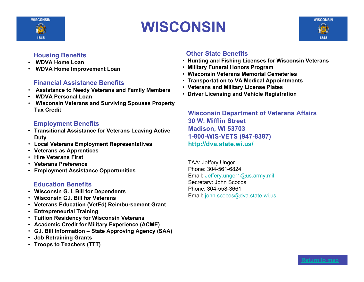

# **WISCONSIN**

# **Housing Benefits**

- • **WDVA Home Loan**
- • **WDVA Home Improvement Loan**

# **Financial Assistance Benefits**

- • **Assistance to Needy Veterans and Family Members**
- • **WDVA Personal Loan**
- • **Wisconsin Veterans and Surviving Spouses Property Tax Credit**

# **Employment Benefits**

- **Transitional Assistance for Veterans Leaving Active Duty**
- **Local Veterans Employment Representatives**
- **Veterans as Apprentices**
- **Hire Veterans First**
- **Veterans Preference**
- **Employment Assistance Opportunities**

# **Education Benefits**

- **Wisconsin G. I. Bill for Dependents**
- **Wisconsin G.I. Bill for Veterans**
- **Veterans Education (VetEd) Reimbursement Grant**
- **Entrepreneurial Training**
- **Tuition Residency for Wisconsin Veterans**
- **Academic Credit for Military Experience (ACME)**
- **G.I. Bill Information – State Approving Agency (SAA)**
- **Job Retraining Grants**
- **Troops to Teachers (TTT)**

# **Other State Benefits**

- • **Hunting and Fishing Licenses for Wisconsin Veterans**
- • **Military Funeral Honors Program**
- • **Wisconsin Veterans Memorial Cemeteries**
- • **Transportation to VA Medical Appointments**
- • **Veterans and Military License Plates**
- • **Driver Licensing and Vehicle Registration**

**Wisconsin Department of Veterans Affairs 30 W. Mifflin Street Madison, WI 53703 1-800-WIS-VETS (947-8387) http://dva.state.wi.us/**

TAA: Jeffery Unger Phone: 304-561-6824 Email: Jeffery.unger1@us.army.mil Secretary: John Scocos Phone: 304-558-3661 Email: john.scocos@dva.state.wi.us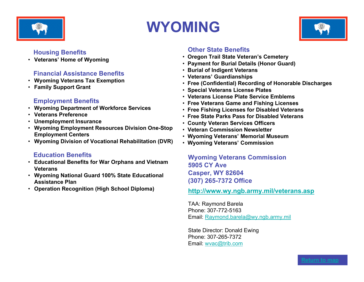

# **WYOMING**



# **Housing Benefits**

• **Veterans' Home of Wyoming**

# **Financial Assistance Benefits**

- **Wyoming Veterans Tax Exemption**
- **Family Support Grant**

# **Employment Benefits**

- **Wyoming Department of Workforce Services**
- **Veterans Preference**
- **Unemployment Insurance**
- **Wyoming Employment Resources Division One-Stop Employment Centers**
- **Wyoming Division of Vocational Rehabilitation (DVR)**

# **Education Benefits**

- **Educational Benefits for War Orphans and Vietnam Veterans**
- **Wyoming National Guard 100% State Educational Assistance Plan**
- **Operation Recognition (High School Diploma)**

# **Other State Benefits**

- • **Oregon Trail State Veteran's Cemetery**
- • **Payment for Burial Details (Honor Guard)**
- • **Burial of Indigent Veterans**
- • **Veterans' Guardianships**
- • **Free (Confidential) Recording of Honorable Discharges**
- • **Special Veterans License Plates**
- • **Veterans License Plate Service Emblems**
- • **Free Veterans Game and Fishing Licenses**
- • **Free Fishing Licenses for Disabled Veterans**
- • **Free State Parks Pass for Disabled Veterans**
- **County Veteran Services Officers**
- • **Veteran Commission Newsletter**
- • **Wyoming Veterans' Memorial Museum**
- • **Wyoming Veterans' Commission**

**Wyoming Veterans Commission 5905 CY Ave Casper, WY 82604 (307) 265-7372 Office**

**http://www.wy.ngb.army.mil/veterans.asp**

TAA: Raymond Barela Phone: 307-772-5163 Email: Raymond.barela@wy.ngb.army.mil

State Director: Donald Ewing Phone: 307-265-7372 Email: wvac@trib.com